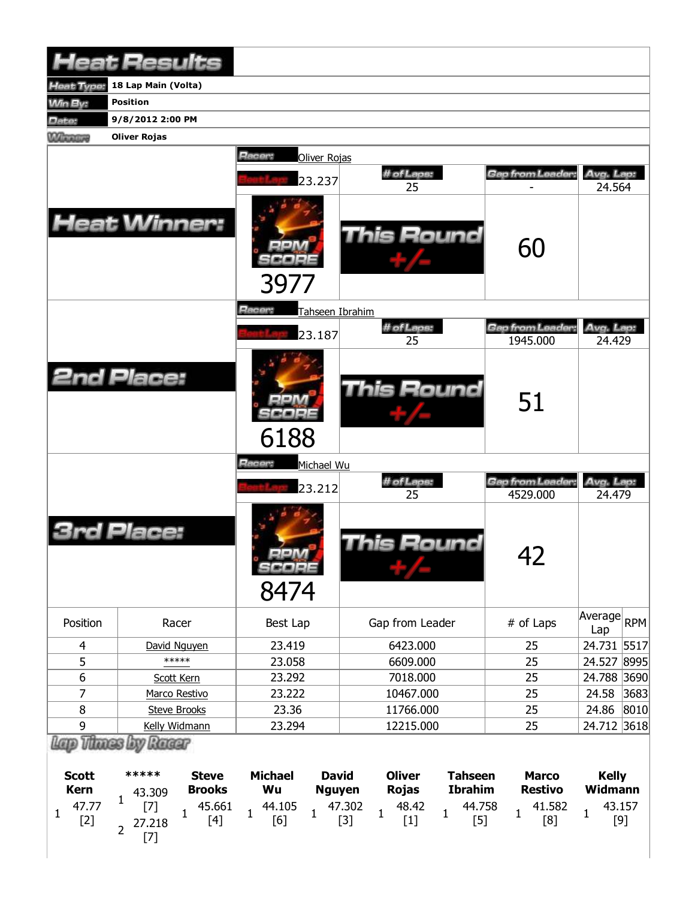|                   | <b>Heat Results</b>                      |                               |                                   |                              |                              |
|-------------------|------------------------------------------|-------------------------------|-----------------------------------|------------------------------|------------------------------|
| <b>Heat Type:</b> | 18 Lap Main (Volta)                      |                               |                                   |                              |                              |
| <b>Min By:</b>    | <b>Position</b>                          |                               |                                   |                              |                              |
| Date:             | 9/8/2012 2:00 PM                         |                               |                                   |                              |                              |
| <b>Winners</b>    | <b>Oliver Rojas</b>                      |                               |                                   |                              |                              |
|                   |                                          | <b>Racer:</b><br>Oliver Rojas |                                   |                              |                              |
|                   |                                          | 23.237                        | # of Laps:<br>25                  | Gap from Leader:             | Avg. Lap:<br>24.564          |
|                   | <b>Heat Winner:</b>                      | 3977                          | This Round                        | 60                           |                              |
|                   |                                          | Racer:<br>Tahseen Ibrahim     |                                   |                              |                              |
|                   |                                          |                               | # of Laps:                        | Gap from Leader:             | Avg. Lap:                    |
|                   |                                          | 23.187                        | 25                                | 1945.000                     | 24.429                       |
|                   | <b>2nd Place:</b>                        | 6188                          | This Round                        | 51                           |                              |
|                   |                                          | Racer:<br>Michael Wu          |                                   |                              |                              |
|                   |                                          | 23.212                        | # of Laps:<br>25                  | Gap from Leader:<br>4529.000 | Avg. Lap:<br>24.479          |
|                   | Place:                                   | SCOPE<br>8474                 | This Round                        | 42                           |                              |
| Position          | Racer                                    | Best Lap                      | Gap from Leader                   | # of Laps                    | Average<br><b>RPM</b><br>Lap |
| $\overline{4}$    | David Nguyen                             | 23.419                        | 6423.000                          | 25                           | 24.731 5517                  |
| 5                 | *****                                    | 23.058                        | 6609.000                          | 25                           | 24.527 8995                  |
| 6                 | Scott Kern                               | 23.292                        | 7018.000                          | 25                           | 24.788<br>3690               |
| $\overline{7}$    | Marco Restivo                            | 23.222                        | 10467.000                         | 25                           | 24.58<br>3683                |
| 8                 | <b>Steve Brooks</b>                      | 23.36                         | 11766.000                         | 25                           | 24.86<br>8010                |
| 9                 | Kelly Widmann                            | 23.294                        | 12215.000                         | 25                           | 24.712 3618                  |
| <b>Scott</b>      | Thanes by Rager<br>*****<br><b>Steve</b> | <b>Michael</b>                | David<br>Oliver<br><b>Tahseen</b> | <b>Marco</b>                 | <b>Kelly</b>                 |

| <b>Scott</b> | *****                                                                                        | <b>Steve</b>  | <b>Michael</b> | <b>David</b>  | <b>Oliver</b> | <b>Tahseen</b>                                                                                                                               | <b>Marco</b>   | <b>Kelly</b> |  |
|--------------|----------------------------------------------------------------------------------------------|---------------|----------------|---------------|---------------|----------------------------------------------------------------------------------------------------------------------------------------------|----------------|--------------|--|
| Kern         | 43.309                                                                                       | <b>Brooks</b> | Wu             | <b>Nguyen</b> | <b>Rojas</b>  | <b>Ibrahim</b>                                                                                                                               | <b>Restivo</b> | Widmann      |  |
| $[2]$        | $\begin{bmatrix} 7 \end{bmatrix}$ 1 45.661<br>27 218 [4]<br>$\frac{27.218}{ }$<br>$\epsilon$ |               |                |               |               | $\begin{array}{ccccccccc}\n & 44.105 & 1 & 47.302 & 1 & 48.42 & 1 & 44.758 & 1 & 41.582 \\ & 1 & 6 & 1 & 3 & 1 & 1 & 1 & 1 & 1\n\end{array}$ |                |              |  |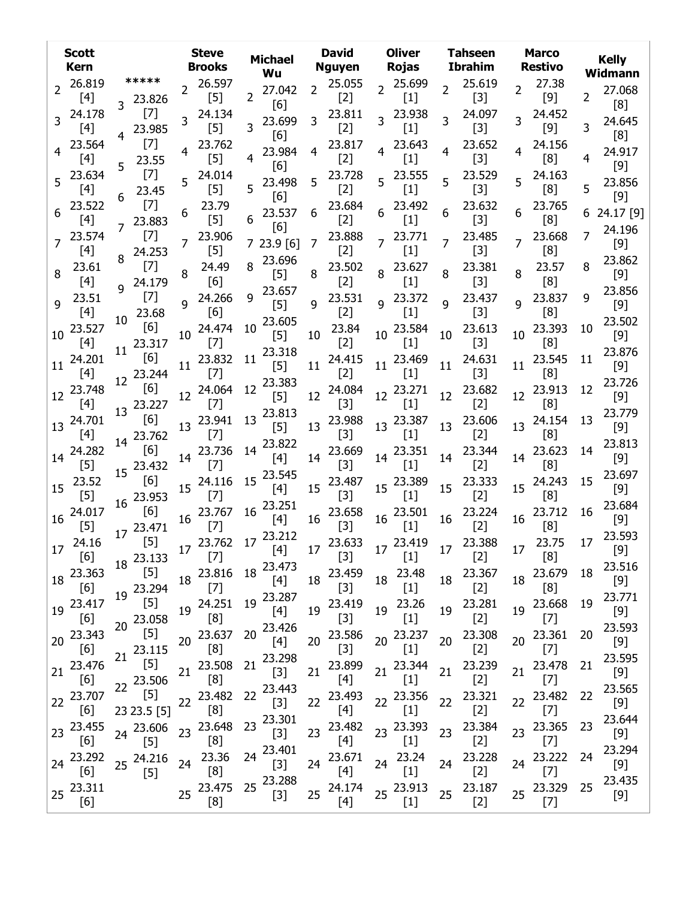|    | <b>Scott</b><br><b>Kern</b> |                                   | <b>Steve</b><br><b>Brooks</b>                                                                                                                                                                         | <b>Michael</b><br>Wu         | <b>David</b><br><b>Nguyen</b>     | <b>Oliver</b><br>Rojas | <b>Tahseen</b><br>Ibrahim         | <b>Marco</b><br><b>Restivo</b>     | <b>Kelly</b><br>Widmann         |
|----|-----------------------------|-----------------------------------|-------------------------------------------------------------------------------------------------------------------------------------------------------------------------------------------------------|------------------------------|-----------------------------------|------------------------|-----------------------------------|------------------------------------|---------------------------------|
|    | 2 26.819                    | *****                             | 2 26.597                                                                                                                                                                                              | 27.042                       | 2 25.055                          | 2 25.699               | 2 25.619                          | 27.38                              | 27.068                          |
|    | $[4]$                       | 3 23.826                          | $[5]$                                                                                                                                                                                                 | $\mathbf{2}^{\prime}$<br>[6] | $[2]$                             | $[1]$                  | $[3]$                             | [9]                                | 2<br>[8]                        |
|    | 3 24.178<br>$[4]$           | $[7]$<br>23.985                   | 24.134<br>3<br>$[5]$                                                                                                                                                                                  | 23.699<br>3                  | 23.811<br>3<br>$[2]$              | 3 23.938<br>$[1]$      | 24.097<br>3<br>$[3]$              | 24.452<br>3<br>$[9]$               | 24.645<br>3                     |
|    | 23.564                      | $[7]$                             | 23.762                                                                                                                                                                                                | [6]<br>23.984                | 23.817<br>4                       | 4 23.643               | 23.652                            | 24.156                             | [8]<br>24.917                   |
|    | [4]                         | 23.55<br>5<br>$[7]$               | $[5]$<br>24.014                                                                                                                                                                                       | [6]                          | $[2]$<br>23.728                   | $[1]$<br>$5^{23.555}$  | $[3]$<br>23.529                   | [8]                                | 4<br>$[9]$                      |
|    | 5 23.634<br>$[4]$           | 23.45                             | 5<br>$[5]$                                                                                                                                                                                            | 5 23.498<br>[6]              | 5<br>$[2]$                        | $[1]$                  | 5<br>$[3]$                        | $5^{24.163}$<br>[8]                | 23.856<br>5<br>$[9]$            |
|    | 23.522<br>[4]               | $[7]$<br>23.883                   | 23.79<br>6<br>$[5]$                                                                                                                                                                                   | 23.537<br>6<br>[6]           | 23.684<br>6<br>$[2]$              | 23.492<br>$[1]$        | 23.632<br>$[3]$                   | 23.765<br>[8]                      | 6 24.17 [9]                     |
|    | 23.574<br>$[4]$             | $[7]$<br>24.253                   | 7 23.906<br>$[5]$                                                                                                                                                                                     | 723.9[6]                     | 23.888<br>$\overline{7}$<br>$[2]$ | $7^{23.771}$<br>$[1]$  | 23.485<br>$\overline{7}$<br>$[3]$ | 23.668<br>[8]                      | 24.196<br>7<br>$[9]$            |
| 8  | 23.61<br>[4]                | $[7]$<br>24.179                   | 24.49<br>8<br>[6]                                                                                                                                                                                     | 23.696<br>$[5]$              | 23.502<br>8<br>$[2]$              | 8 23.627<br>$[1]$      | 23.381<br>$[3]$                   | 23.57<br>[8]                       | 23.862<br>$[9]$                 |
| 9  | 23.51<br>$[4]$              | $[7]$<br>23.68<br>10 <sup>1</sup> | 9 24.266<br>[6]                                                                                                                                                                                       | 9 23.657<br>$[5]$            | 23.531<br>9<br>$[2]$              | 9 23.372<br>$[1]$      | 23.437<br>9<br>$[3]$              | 9 23.837<br>[8]                    | 23.856<br>q<br>$[9]$            |
|    | 10 23.527<br>[4]            | [6]<br>23.317<br>11               | 10 24.474<br>$[7]$                                                                                                                                                                                    | 23.605<br>10<br>$[5]$        | 23.84<br>10<br>$[2]$              | 10 23.584<br>$[1]$     | 23.613<br>10<br>$[3]$             | 23.393<br>10 <sup>1</sup><br>[8]   | 23.502<br>10<br>$[9]$           |
|    | 11 24.201<br>$[4]$          | [6]<br>12 23.244                  | 11 23.832<br>$[7]$                                                                                                                                                                                    | $11^{23.318}$<br>[5]         | 24.415<br>11<br>$[2]$             | 11 23.469<br>$[1]$     | 24.631<br>11<br>$[3]$             | 23.545<br>11<br>[8]                | 23.876<br>11<br>$[9]$           |
| 12 | 23.748<br>$[4]$             | [6]<br>13 23.227                  | 12 24.064<br>$[7]$                                                                                                                                                                                    | 12 23.383<br>$[5]$           | 24.084<br>12<br>$[3]$             | 12 23.271<br>$[1]$     | 23.682<br>12<br>$[2]$             | 12 23.913<br>[8]                   | 23.726<br>12<br>$[9]$           |
|    | 13 24.701<br>$[4]$          | [6]<br>14 23.762                  | 13 23.941<br>$[7]$                                                                                                                                                                                    | 13 23.813<br>$[5]$           | 23.988<br>13<br>$[3]$             | 13 23.387<br>$[1]$     | 23.606<br>13<br>$[2]$             | 13 24.154<br>[8]                   | 23.779<br>13<br>$[9]$           |
|    | 14 24.282<br>$[5]$          | [6]<br>15 23.432                  | 14 23.736<br>$[7]$                                                                                                                                                                                    | 14 23.822<br>[4]             | 23.669<br>14<br>$[3]$             | 14 23.351<br>$[1]$     | 23.344<br>14<br>$[2]$             | 23.623<br>14<br>[8]                | 23.813<br>14<br>$[9]$           |
|    | $15^{23.52}$<br>$[5]$       | [6]<br>16 23.953                  | 15 24.116<br>$[7]$                                                                                                                                                                                    | 15 23.545<br>[4]             | 15 23.487<br>$[3]$                | 15 23.389<br>$[1]$     | 23.333<br>15<br>$[2]$             | 15 24.243<br>[8]                   | 23.697<br>15<br>$[9]$           |
| 16 | 24.017<br>$[5]$             | [6]<br>17 23.471                  | 16 23.767<br>$[7]$                                                                                                                                                                                    | 16 23.251<br>[4]             | 23.658<br>16<br>$[3]$             | 16 23.501<br>$[1]$     | 23.224<br>16<br>$[2]$             | 16 23.712<br>[8]                   | 23.684<br>16<br>$[9]$           |
|    | 17 24.16<br>[6]             | [5]<br>18 23.133                  | $17^{23.762}$<br>$[7]$                                                                                                                                                                                | 17 23.212                    | $[4]$ 17 $^{23.633}$<br>$[3]$     | 17 23.419<br>$[1]$     | 17 23.388<br>$[2]$                | 17 23.75<br>[8]                    | 23.593<br>17<br>$[9]$<br>23.516 |
|    | 18 23.363<br>[6]            | $[5]$<br>19 23.294                | 18 23.816<br>$[7]$                                                                                                                                                                                    | 18 23.473<br>$[4]$           | 18 23.459<br>$[3]$                | 18 23.48<br>$[1]$      | 18 23.367<br>$[2]$                | 18 23.679<br>[8]                   | 18<br>$[9]$<br>23.771           |
| 19 | 23.417<br>$[6]$             | [5]<br>23.058<br>20               | 19 24.251<br>[8]                                                                                                                                                                                      | 19 23.287<br>$[4]$           | 23.419<br>19<br>$[3]$             | 23.26<br>19<br>$[1]$   | 23.281<br>19<br>$[2]$             | 19 23.668<br>$[7]$                 | 19<br>$[9]$<br>23.593           |
|    | 20 23.343<br>[6]            | $[5]$<br>21 23.115                | 20 23.637<br>[8]                                                                                                                                                                                      | 20 23.426<br>[4]<br>23.298   | 23.586<br>20<br>$[3]$             | 20 23.237<br>$[1]$     | 23.308<br>20<br>$[2]$             | 23.361<br>20 <sub>2</sub><br>$[7]$ | 20<br>$[9]$<br>23.595           |
|    | 21 23.476<br>[6]            | $[5]$<br>22 23.506                | 21 23.508<br>[8]                                                                                                                                                                                      | 21<br>$[3]$                  | 21 23.899<br>$[4]$                | 21 23.344<br>$[1]$     | 23.239<br>21<br>$[2]$             | 21 23.478<br>$[7]$                 | 21<br>$[9]$<br>23.565           |
|    | 22 23.707<br>[6]            | $[5]$<br>23 23.5 [5]              | 22 23.482<br>[8]                                                                                                                                                                                      | 22 23.443<br>$[3]$           | 23.493<br>22<br>$[4]$             | 22 23.356<br>$[1]$     | 23.321<br>22<br>$[2]$             | 22 23.482<br>$[7]$                 | 22<br>$[9]$<br>23.644           |
|    | 23 23.455<br>[6]            | 24 23.606<br>$[5]$                | 23 23.648<br>[8]                                                                                                                                                                                      | 23 23.301<br>$[3]$           | 23.482<br>23<br>$[4]$             | 23 23.393<br>$[1]$     | 23.384<br>23<br>$[2]$             | 23 23.365<br>$[7]$                 | 23<br>$[9]$<br>23.294           |
|    | 24 23.292<br>[6]            | 25 24.216<br>$[5]$                | 23.36<br>24<br>[8]                                                                                                                                                                                    | 24 23.401<br>$[3]$<br>23.288 | 23.671<br>24<br>$[4]$             | 24 23.24<br>$[1]$      | 23.228<br>24<br>$[2]$             | 24 23.222<br>$[7]$                 | 24<br>$[9]$<br>23.435           |
|    | 25 23.311<br>[6]            |                                   | 25 23.475<br>$[8] % \includegraphics[width=0.9\columnwidth]{figures/fig_10.pdf} \caption{Schematic plot of the top of the top of the top of the top of the top of the right.} \label{fig:fig_10.pdf}$ | 25<br>$[3]$                  | 25 24.174<br>$[4]$                | 25 23.913<br>$[1]$     | 25 23.187<br>$[2]$                | 25 23.329<br>$[7]$                 | 25<br>$[9]$                     |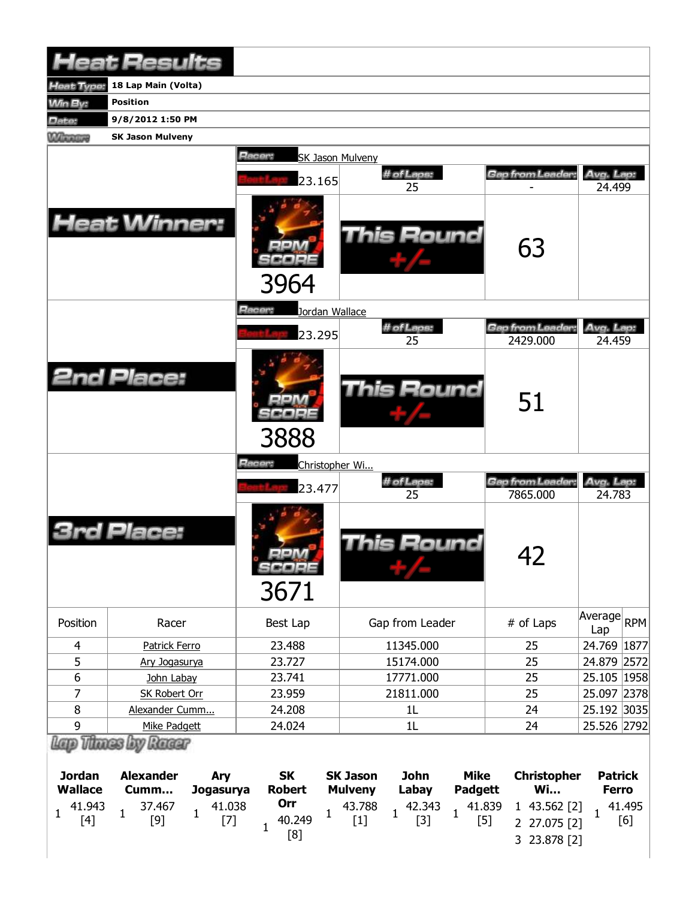|                | <b>Heat Results</b>                          |                               |                                        |                             |                         |
|----------------|----------------------------------------------|-------------------------------|----------------------------------------|-----------------------------|-------------------------|
| eat Type:      | 18 Lap Main (Volta)                          |                               |                                        |                             |                         |
| <b>Win By:</b> | <b>Position</b>                              |                               |                                        |                             |                         |
| Date:          | 9/8/2012 1:50 PM                             |                               |                                        |                             |                         |
| <b>Winners</b> | <b>SK Jason Mulveny</b>                      |                               |                                        |                             |                         |
|                |                                              | Racer:<br>SK Jason Mulveny    |                                        |                             |                         |
|                |                                              | 23.165                        | # of Laps:                             | Gap from Leader:            | Avg. Lap:               |
|                | <b>Heat Winner:</b>                          | 3964                          | 25<br>This Round                       | 63                          | 24.499                  |
|                |                                              | Racer:<br>Jordan Wallace      |                                        |                             |                         |
|                |                                              | 23.295                        | # of Laps:                             | Gap from Leader:            | Avg. Lap:               |
|                | <b>2nd Place:</b>                            | 3888                          | 25<br>This Round                       | 2429.000<br>51              | 24.459                  |
|                |                                              | Racer:<br>Christopher Wi      |                                        |                             |                         |
|                |                                              | 23.477                        | # of Laps:<br>25                       | Gap from Leader<br>7865.000 | Avg. Lap:<br>24.783     |
|                | ace:                                         | <b>MR</b> 74<br>SCORE<br>3671 | This Round                             | 42                          |                         |
| Position       | Racer                                        | Best Lap                      | Gap from Leader                        | # of Laps                   | Average<br> RPM <br>Lap |
| 4              | <b>Patrick Ferro</b>                         | 23.488                        | 11345.000                              | 25                          | 24.769 1877             |
| 5              | Ary Jogasurya                                | 23.727                        | 15174.000                              | 25                          | 24.879 2572             |
| 6              | John Labay                                   | 23.741                        | 17771.000                              | 25                          | 25.105 1958             |
| 7              | <b>SK Robert Orr</b>                         | 23.959                        | 21811.000                              | 25                          | 25.097 2378             |
| 8              | Alexander Cumm                               | 24.208                        | 1L                                     | 24                          | 25.192 3035             |
| 9              | Mike Padgett                                 | 24.024                        | 1L                                     | 24                          | 25.526 2792             |
| <b>Jordan</b>  | Lap Thues by Ruar<br><b>Alexander</b><br>Δrv | <b>SK</b>                     | <b>SK Jason</b><br><b>lohn</b><br>Mike |                             | Christonher Patrick     |

| <b>Jordan</b>  |               | <b>Alexander</b> |                                                     | Arv       |                                                     | <b>SK</b> |                      | <b>SK Jason</b> |  | John  |  | Mike    |  | Christopher |              | <b>Patrick</b> |               |
|----------------|---------------|------------------|-----------------------------------------------------|-----------|-----------------------------------------------------|-----------|----------------------|-----------------|--|-------|--|---------|--|-------------|--------------|----------------|---------------|
| <b>Wallace</b> |               | Cumm             |                                                     | Jogasurya |                                                     | Robert    |                      | Mulveny         |  | Labay |  | Padgett |  | Wi          |              | <b>Ferro</b>   |               |
|                | $1 \t 41.943$ |                  | $\begin{array}{cc} & 37.467 \\ 1 & [9] \end{array}$ |           | $\begin{array}{cc} 1 & 41.038 \\ & [7] \end{array}$ |           | Orr<br>40.249<br>[8] |                 |  |       |  |         |  |             | 3 23.878 [2] |                | 41.495<br>[6] |